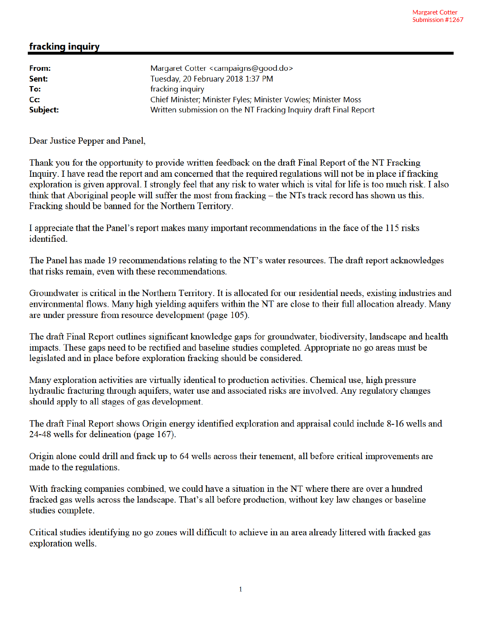## fracking inquiry

| From:    | Margaret Cotter < campaigns@good.do>                             |
|----------|------------------------------------------------------------------|
| Sent:    | Tuesday, 20 February 2018 1:37 PM                                |
| To:      | fracking inquiry                                                 |
| Cc:      | Chief Minister; Minister Fyles; Minister Vowles; Minister Moss   |
| Subject: | Written submission on the NT Fracking Inquiry draft Final Report |

Dear Justice Pepper and Panel,

Thank you for the opportunity to provide written feedback on the draft Final Report of the NT Fracking Inquiry. I have read the report and am concerned that the required regulations will not be in place if fracking exploration is given approval. I strongly feel that any risk to water which is vital for life is too much risk. I also think that Aboriginal people will suffer the most from fracking – the NTs track record has shown us this. Fracking should be banned for the Northern Territory.

I appreciate that the Panel's report makes many important recommendations in the face of the 115 risks identified.

The Panel has made 19 recommendations relating to the NT's water resources. The draft report acknowledges that risks remain, even with these recommendations.

Groundwater is critical in the Northern Territory. It is allocated for our residential needs, existing industries and environmental flows. Many high yielding aquifers within the NT are close to their full allocation already. Many are under pressure from resource development (page 105).

The draft Final Report outlines significant knowledge gaps for groundwater, biodiversity, landscape and health impacts. These gaps need to be rectified and baseline studies completed. Appropriate no go areas must be legislated and in place before exploration fracking should be considered.

Many exploration activities are virtually identical to production activities. Chemical use, high pressure hydraulic fracturing through aquifers, water use and associated risks are involved. Any regulatory changes should apply to all stages of gas development.

The draft Final Report shows Origin energy identified exploration and appraisal could include 8-16 wells and 24-48 wells for delineation (page 167).

Origin alone could drill and frack up to 64 wells across their tenement, all before critical improvements are made to the regulations.

With fracking companies combined, we could have a situation in the NT where there are over a hundred fracked gas wells across the landscape. That's all before production, without key law changes or baseline studies complete.

Critical studies identifying no go zones will difficult to achieve in an area already littered with fracked gas exploration wells.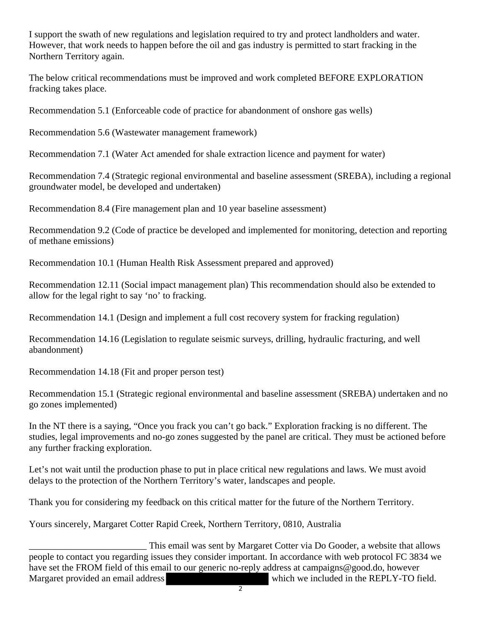I support the swath of new regulations and legislation required to try and protect landholders and water. However, that work needs to happen before the oil and gas industry is permitted to start fracking in the Northern Territory again.

The below critical recommendations must be improved and work completed BEFORE EXPLORATION fracking takes place.

Recommendation 5.1 (Enforceable code of practice for abandonment of onshore gas wells)

Recommendation 5.6 (Wastewater management framework)

Recommendation 7.1 (Water Act amended for shale extraction licence and payment for water)

Recommendation 7.4 (Strategic regional environmental and baseline assessment (SREBA), including a regional groundwater model, be developed and undertaken)

Recommendation 8.4 (Fire management plan and 10 year baseline assessment)

Recommendation 9.2 (Code of practice be developed and implemented for monitoring, detection and reporting of methane emissions)

Recommendation 10.1 (Human Health Risk Assessment prepared and approved)

Recommendation 12.11 (Social impact management plan) This recommendation should also be extended to allow for the legal right to say 'no' to fracking.

Recommendation 14.1 (Design and implement a full cost recovery system for fracking regulation)

Recommendation 14.16 (Legislation to regulate seismic surveys, drilling, hydraulic fracturing, and well abandonment)

Recommendation 14.18 (Fit and proper person test)

Recommendation 15.1 (Strategic regional environmental and baseline assessment (SREBA) undertaken and no go zones implemented)

In the NT there is a saying, "Once you frack you can't go back." Exploration fracking is no different. The studies, legal improvements and no-go zones suggested by the panel are critical. They must be actioned before any further fracking exploration.

Let's not wait until the production phase to put in place critical new regulations and laws. We must avoid delays to the protection of the Northern Territory's water, landscapes and people.

Thank you for considering my feedback on this critical matter for the future of the Northern Territory.

Yours sincerely, Margaret Cotter Rapid Creek, Northern Territory, 0810, Australia

This email was sent by Margaret Cotter via Do Gooder, a website that allows people to contact you regarding issues they consider important. In accordance with web protocol FC 3834 we have set the FROM field of this email to our generic no-reply address at campaigns@good.do, however Margaret provided an email address which we included in the REPLY-TO field.